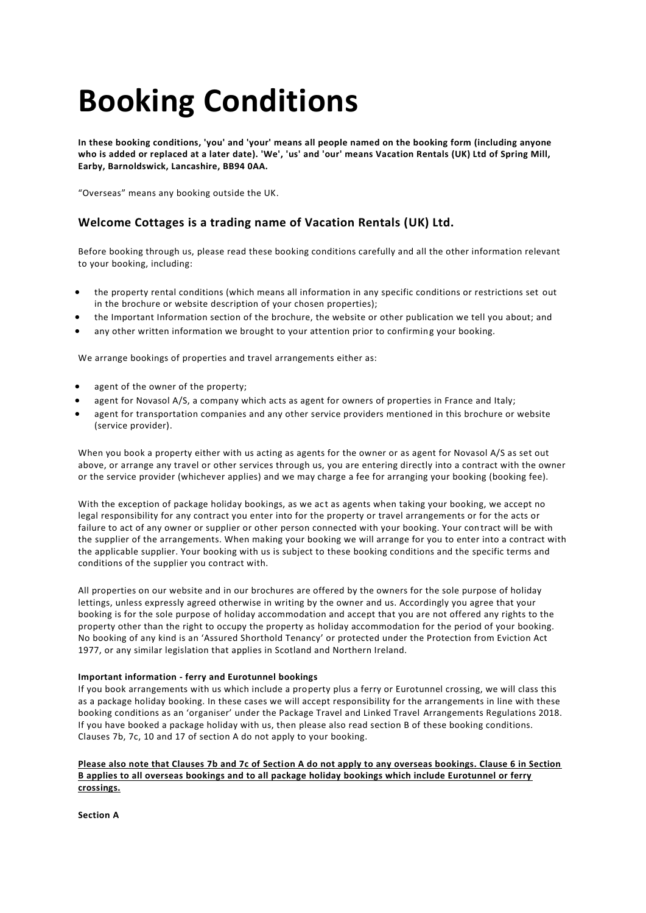# **Booking Conditions**

**In these booking conditions, 'you' and 'your' means all people named on the booking form (including anyone who is added or replaced at a later date). 'We', 'us' and 'our' means Vacation Rentals (UK) Ltd of Spring Mill, Earby, Barnoldswick, Lancashire, BB94 0AA.**

"Overseas" means any booking outside the UK.

# **Welcome Cottages is a trading name of Vacation Rentals (UK) Ltd.**

Before booking through us, please read these booking conditions carefully and all the other information relevant to your booking, including:

- the property rental conditions (which means all information in any specific conditions or restrictions set out in the brochure or website description of your chosen properties);
- the Important Information section of the brochure, the website or other publication we tell you about; and
- any other written information we brought to your attention prior to confirming your booking.

We arrange bookings of properties and travel arrangements either as:

- agent of the owner of the property;
- agent for Novasol A/S, a company which acts as agent for owners of properties in France and Italy;
- agent for transportation companies and any other service providers mentioned in this brochure or website (service provider).

When you book a property either with us acting as agents for the owner or as agent for Novasol A/S as set out above, or arrange any travel or other services through us, you are entering directly into a contract with the owner or the service provider (whichever applies) and we may charge a fee for arranging your booking (booking fee).

With the exception of package holiday bookings, as we act as agents when taking your booking, we accept no legal responsibility for any contract you enter into for the property or travel arrangements or for the acts or failure to act of any owner or supplier or other person connected with your booking. Your con tract will be with the supplier of the arrangements. When making your booking we will arrange for you to enter into a contract with the applicable supplier. Your booking with us is subject to these booking conditions and the specific terms and conditions of the supplier you contract with.

All properties on our website and in our brochures are offered by the owners for the sole purpose of holiday lettings, unless expressly agreed otherwise in writing by the owner and us. Accordingly you agree that your booking is for the sole purpose of holiday accommodation and accept that you are not offered any rights to the property other than the right to occupy the property as holiday accommodation for the period of your booking. No booking of any kind is an 'Assured Shorthold Tenancy' or protected under the Protection from Eviction Act 1977, or any similar legislation that applies in Scotland and Northern Ireland.

# **Important information - ferry and Eurotunnel bookings**

If you book arrangements with us which include a property plus a ferry or Eurotunnel crossing, we will class this as a package holiday booking. In these cases we will accept responsibility for the arrangements in line with these booking conditions as an 'organiser' under the Package Travel and Linked Travel Arrangements Regulations 2018. If you have booked a package holiday with us, then please also read section B of these booking conditions. Clauses 7b, 7c, 10 and 17 of section A do not apply to your booking.

# **Please also note that Clauses 7b and 7c of Section A do not apply to any overseas bookings. Clause 6 in Section B applies to all overseas bookings and to all package holiday bookings which include Eurotunnel or ferry crossings.**

**Section A**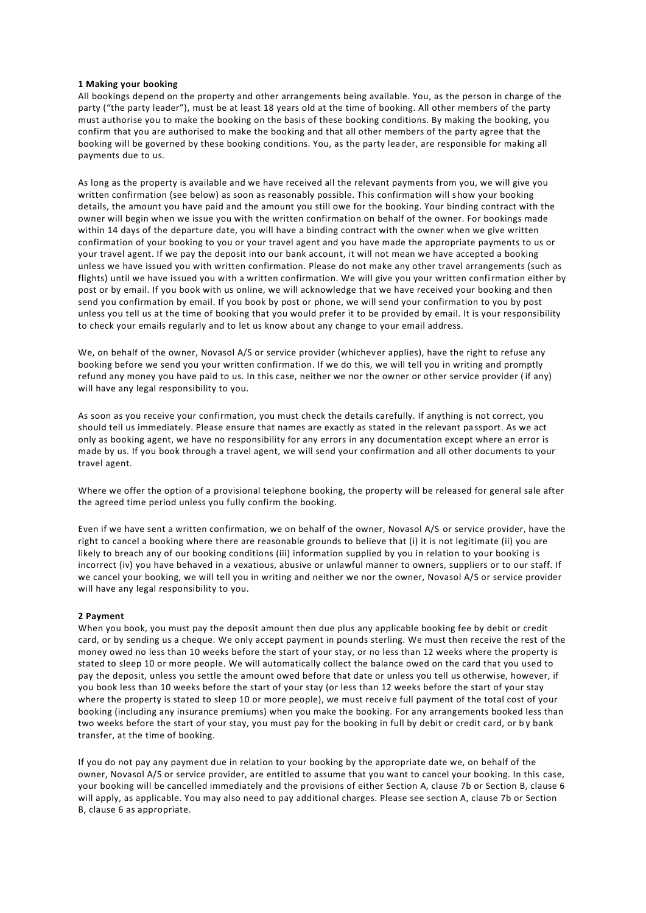# **1 Making your booking**

All bookings depend on the property and other arrangements being available. You, as the person in charge of the party ("the party leader"), must be at least 18 years old at the time of booking. All other members of the party must authorise you to make the booking on the basis of these booking conditions. By making the booking, you confirm that you are authorised to make the booking and that all other members of the party agree that the booking will be governed by these booking conditions. You, as the party leader, are responsible for making all payments due to us.

As long as the property is available and we have received all the relevant payments from you, we will give you written confirmation (see below) as soon as reasonably possible. This confirmation will show your booking details, the amount you have paid and the amount you still owe for the booking. Your binding contract with the owner will begin when we issue you with the written confirmation on behalf of the owner. For bookings made within 14 days of the departure date, you will have a binding contract with the owner when we give written confirmation of your booking to you or your travel agent and you have made the appropriate payments to us or your travel agent. If we pay the deposit into our bank account, it will not mean we have accepted a booking unless we have issued you with written confirmation. Please do not make any other travel arrangements (such as flights) until we have issued you with a written confirmation. We will give you your written confirmation either by post or by email. If you book with us online, we will acknowledge that we have received your booking and then send you confirmation by email. If you book by post or phone, we will send your confirmation to you by post unless you tell us at the time of booking that you would prefer it to be provided by email. It is your responsibility to check your emails regularly and to let us know about any change to your email address.

We, on behalf of the owner, Novasol A/S or service provider (whichever applies), have the right to refuse any booking before we send you your written confirmation. If we do this, we will tell you in writing and promptly refund any money you have paid to us. In this case, neither we nor the owner or other service provider ( if any) will have any legal responsibility to you.

As soon as you receive your confirmation, you must check the details carefully. If anything is not correct, you should tell us immediately. Please ensure that names are exactly as stated in the relevant pa ssport. As we act only as booking agent, we have no responsibility for any errors in any documentation except where an error is made by us. If you book through a travel agent, we will send your confirmation and all other documents to your travel agent.

Where we offer the option of a provisional telephone booking, the property will be released for general sale after the agreed time period unless you fully confirm the booking.

Even if we have sent a written confirmation, we on behalf of the owner, Novasol A/S or service provider, have the right to cancel a booking where there are reasonable grounds to believe that (i) it is not legitimate (ii) you are likely to breach any of our booking conditions (iii) information supplied by you in relation to your booking is incorrect (iv) you have behaved in a vexatious, abusive or unlawful manner to owners, suppliers or to our staff. If we cancel your booking, we will tell you in writing and neither we nor the owner, Novasol A/S or service provider will have any legal responsibility to you.

#### **2 Payment**

When you book, you must pay the deposit amount then due plus any applicable booking fee by debit or credit card, or by sending us a cheque. We only accept payment in pounds sterling. We must then receive the rest of the money owed no less than 10 weeks before the start of your stay, or no less than 12 weeks where the property is stated to sleep 10 or more people. We will automatically collect the balance owed on the card that you used to pay the deposit, unless you settle the amount owed before that date or unless you tell us otherwise, however, if you book less than 10 weeks before the start of your stay (or less than 12 weeks before the start of your stay where the property is stated to sleep 10 or more people), we must receive full payment of the total cost of your booking (including any insurance premiums) when you make the booking. For any arrangements booked less than two weeks before the start of your stay, you must pay for the booking in full by debit or credit card, or by bank transfer, at the time of booking.

If you do not pay any payment due in relation to your booking by the appropriate date we, on behalf of the owner, Novasol A/S or service provider, are entitled to assume that you want to cancel your booking. In this case, your booking will be cancelled immediately and the provisions of either Section A, clause 7b or Section B, clause 6 will apply, as applicable. You may also need to pay additional charges. Please see section A, clause 7b or Section B, clause 6 as appropriate.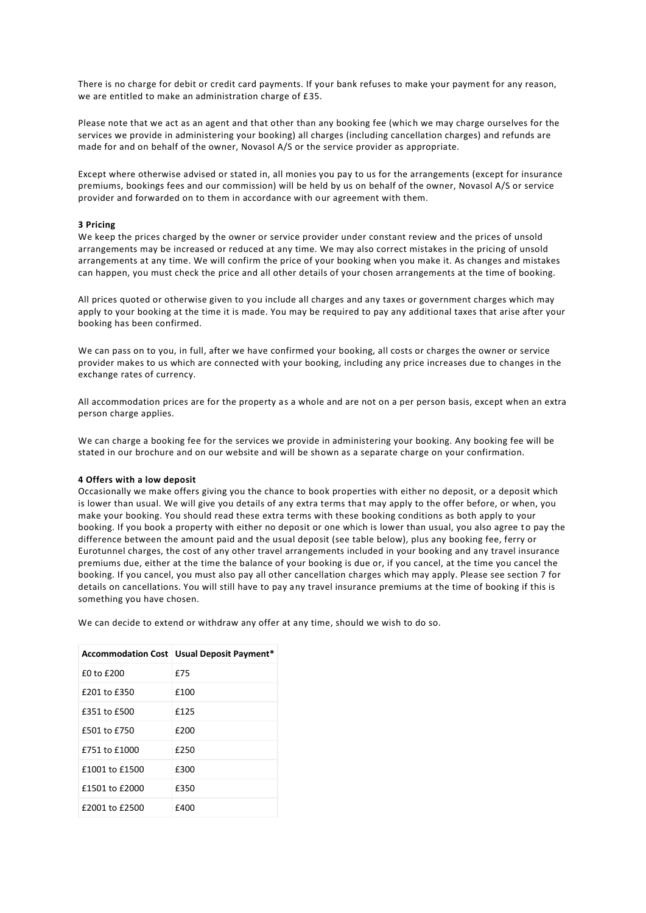There is no charge for debit or credit card payments. If your bank refuses to make your payment for any reason, we are entitled to make an administration charge of £35.

Please note that we act as an agent and that other than any booking fee (which we may charge ourselves for the services we provide in administering your booking) all charges (including cancellation charges) and refunds are made for and on behalf of the owner, Novasol A/S or the service provider as appropriate.

Except where otherwise advised or stated in, all monies you pay to us for the arrangements (except for insurance premiums, bookings fees and our commission) will be held by us on behalf of the owner, Novasol A/S or service provider and forwarded on to them in accordance with our agreement with them.

# **3 Pricing**

We keep the prices charged by the owner or service provider under constant review and the prices of unsold arrangements may be increased or reduced at any time. We may also correct mistakes in the pricing of unsold arrangements at any time. We will confirm the price of your booking when you make it. As changes and mistakes can happen, you must check the price and all other details of your chosen arrangements at the time of booking.

All prices quoted or otherwise given to you include all charges and any taxes or government charges which may apply to your booking at the time it is made. You may be required to pay any additional taxes that arise after your booking has been confirmed.

We can pass on to you, in full, after we have confirmed your booking, all costs or charges the owner or service provider makes to us which are connected with your booking, including any price increases due to changes in the exchange rates of currency.

All accommodation prices are for the property as a whole and are not on a per person basis, except when an extra person charge applies.

We can charge a booking fee for the services we provide in administering your booking. Any booking fee will be stated in our brochure and on our website and will be shown as a separate charge on your confirmation.

#### **4 Offers with a low deposit**

Occasionally we make offers giving you the chance to book properties with either no deposit, or a deposit which is lower than usual. We will give you details of any extra terms that may apply to the offer before, or when, you make your booking. You should read these extra terms with these booking conditions as both apply to your booking. If you book a property with either no deposit or one which is lower than usual, you also agree to pay the difference between the amount paid and the usual deposit (see table below), plus any booking fee, ferry or Eurotunnel charges, the cost of any other travel arrangements included in your booking and any travel insurance premiums due, either at the time the balance of your booking is due or, if you cancel, at the time you cancel the booking. If you cancel, you must also pay all other cancellation charges which may apply. Please see section 7 for details on cancellations. You will still have to pay any travel insurance premiums at the time of booking if this is something you have chosen.

We can decide to extend or withdraw any offer at any time, should we wish to do so.

|                | Accommodation Cost   Usual Deposit Payment* |
|----------------|---------------------------------------------|
| £0 to £200     | f75                                         |
| £201 to £350   | £100                                        |
| £351 to £500   | £125                                        |
| £501 to £750   | £200                                        |
| £751 to £1000  | £250                                        |
| £1001 to £1500 | £300                                        |
| £1501 to £2000 | £350                                        |
| £2001 to £2500 | £400                                        |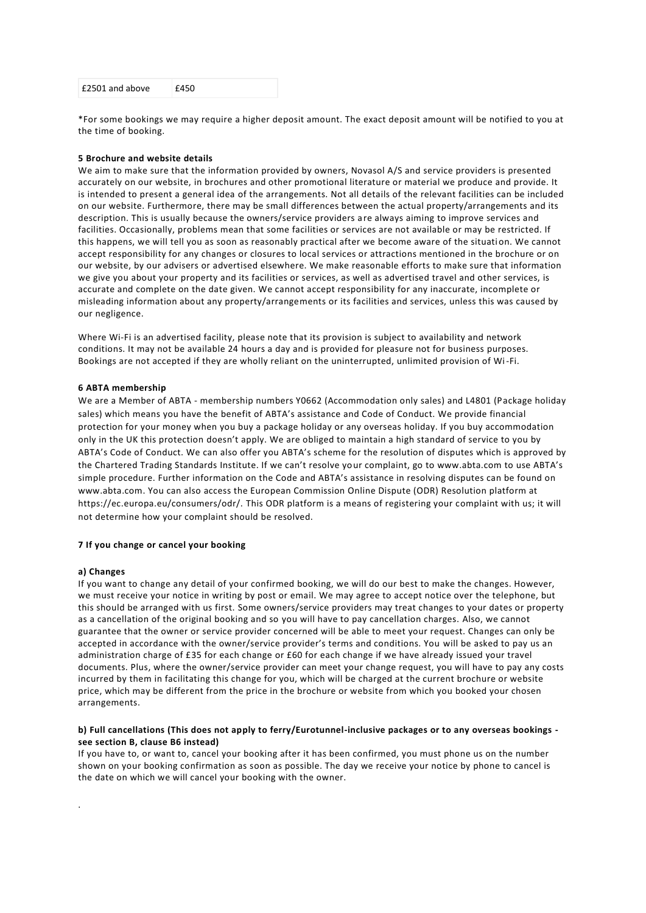\*For some bookings we may require a higher deposit amount. The exact deposit amount will be notified to you at the time of booking.

#### **5 Brochure and website details**

We aim to make sure that the information provided by owners, Novasol A/S and service providers is presented accurately on our website, in brochures and other promotional literature or material we produce and provide. It is intended to present a general idea of the arrangements. Not all details of the relevant facilities can be included on our website. Furthermore, there may be small differences between the actual property/arrangements and its description. This is usually because the owners/service providers are always aiming to improve services and facilities. Occasionally, problems mean that some facilities or services are not available or may be restricted. If this happens, we will tell you as soon as reasonably practical after we become aware of the situation. We cannot accept responsibility for any changes or closures to local services or attractions mentioned in the brochure or on our website, by our advisers or advertised elsewhere. We make reasonable efforts to make sure that information we give you about your property and its facilities or services, as well as advertised travel and other services, is accurate and complete on the date given. We cannot accept responsibility for any inaccurate, incomplete or misleading information about any property/arrangements or its facilities and services, unless this was caused by our negligence.

Where Wi-Fi is an advertised facility, please note that its provision is subject to availability and network conditions. It may not be available 24 hours a day and is provided for pleasure not for business purposes. Bookings are not accepted if they are wholly reliant on the uninterrupted, unlimited provision of Wi-Fi.

#### **6 ABTA membership**

We are a Member of ABTA - membership numbers Y0662 (Accommodation only sales) and L4801 (Package holiday sales) which means you have the benefit of ABTA's assistance and Code of Conduct. We provide financial protection for your money when you buy a package holiday or any overseas holiday. If you buy accommodation only in the UK this protection doesn't apply. We are obliged to maintain a high standard of service to you by ABTA's Code of Conduct. We can also offer you ABTA's scheme for the resolution of disputes which is approved by the Chartered Trading Standards Institute. If we can't resolve your complaint, go to [www.abta.com](http://www.abta.com/) to use ABTA's simple procedure. Further information on the Code and ABTA's assistance in resolving disputes can be found on [www.abta.com.](http://www.abta.com/) You can also access the European Commission Online Dispute (ODR) Resolution platform at [https://ec.europa.eu/consumers/odr/.](https://ec.europa.eu/consumers/odr/) This ODR platform is a means of registering your complaint with us; it will not determine how your complaint should be resolved.

#### **7 If you change or cancel your booking**

#### **a) Changes**

.

If you want to change any detail of your confirmed booking, we will do our best to make the changes. However, we must receive your notice in writing by post or email. We may agree to accept notice over the telephone, but this should be arranged with us first. Some owners/service providers may treat changes to your dates or property as a cancellation of the original booking and so you will have to pay cancellation charges. Also, we cannot guarantee that the owner or service provider concerned will be able to meet your request. Changes can only be accepted in accordance with the owner/service provider's terms and conditions. You will be asked to pay us an administration charge of £35 for each change or £60 for each change if we have already issued your travel documents. Plus, where the owner/service provider can meet your change request, you will have to pay any costs incurred by them in facilitating this change for you, which will be charged at the current brochure or website price, which may be different from the price in the brochure or website from which you booked your chosen arrangements.

# **b) Full cancellations (This does not apply to ferry/Eurotunnel-inclusive packages or to any overseas bookings see section B, clause B6 instead)**

If you have to, or want to, cancel your booking after it has been confirmed, you must phone us on the number shown on your booking confirmation as soon as possible. The day we receive your notice by phone to cancel is the date on which we will cancel your booking with the owner.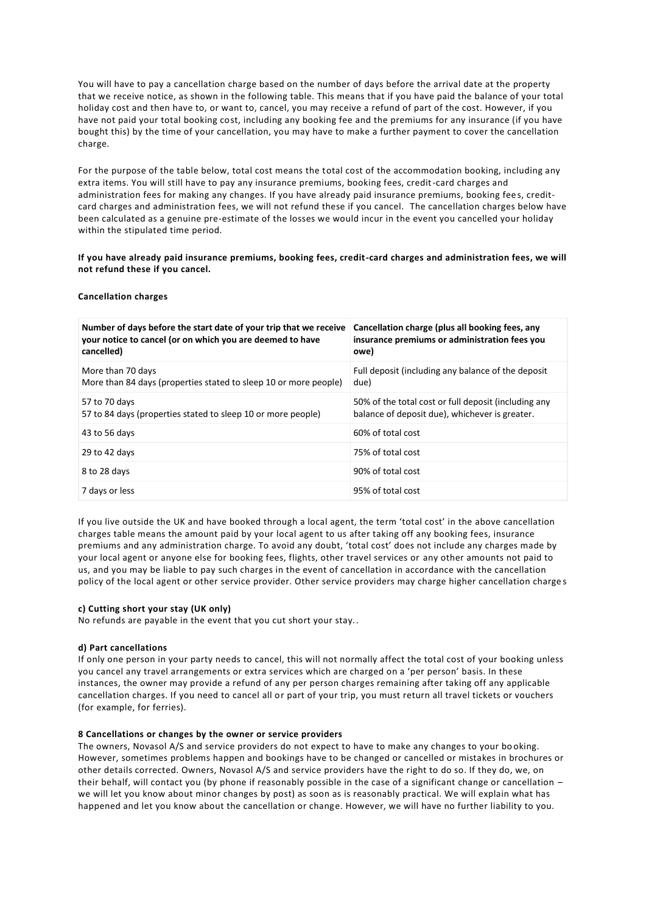You will have to pay a cancellation charge based on the number of days before the arrival date at the property that we receive notice, as shown in the following table. This means that if you have paid the balance of your total holiday cost and then have to, or want to, cancel, you may receive a refund of part of the cost. However, if you have not paid your total booking cost, including any booking fee and the premiums for any insurance (if you have bought this) by the time of your cancellation, you may have to make a further payment to cover the cancellation charge.

For the purpose of the table below, total cost means the total cost of the accommodation booking, including any extra items. You will still have to pay any insurance premiums, booking fees, credit-card charges and administration fees for making any changes. If you have already paid insurance premiums, booking fees, creditcard charges and administration fees, we will not refund these if you cancel. The cancellation charges below have been calculated as a genuine pre-estimate of the losses we would incur in the event you cancelled your holiday within the stipulated time period.

# **If you have already paid insurance premiums, booking fees, credit-card charges and administration fees, we will not refund these if you cancel.**

# **Cancellation charges**

| Number of days before the start date of your trip that we receive<br>your notice to cancel (or on which you are deemed to have<br>cancelled) | Cancellation charge (plus all booking fees, any<br>insurance premiums or administration fees you<br>owe) |
|----------------------------------------------------------------------------------------------------------------------------------------------|----------------------------------------------------------------------------------------------------------|
| More than 70 days<br>More than 84 days (properties stated to sleep 10 or more people)                                                        | Full deposit (including any balance of the deposit<br>due)                                               |
| 57 to 70 days<br>57 to 84 days (properties stated to sleep 10 or more people)                                                                | 50% of the total cost or full deposit (including any<br>balance of deposit due), whichever is greater.   |
| 43 to 56 days                                                                                                                                | 60% of total cost                                                                                        |
| 29 to 42 days                                                                                                                                | 75% of total cost                                                                                        |
| 8 to 28 days                                                                                                                                 | 90% of total cost                                                                                        |
| 7 days or less                                                                                                                               | 95% of total cost                                                                                        |

If you live outside the UK and have booked through a local agent, the term 'total cost' in the above cancellation charges table means the amount paid by your local agent to us after taking off any booking fees, insurance premiums and any administration charge. To avoid any doubt, 'total cost' does not include any charges made by your local agent or anyone else for booking fees, flights, other travel services or any other amounts not paid to us, and you may be liable to pay such charges in the event of cancellation in accordance with the cancellation policy of the local agent or other service provider. Other service providers may charge higher cancellation charge s

#### **c) Cutting short your stay (UK only)**

No refunds are payable in the event that you cut short your stay..

# **d) Part cancellations**

If only one person in your party needs to cancel, this will not normally affect the total cost of your booking unless you cancel any travel arrangements or extra services which are charged on a 'per person' basis. In these instances, the owner may provide a refund of any per person charges remaining after taking off any applicable cancellation charges. If you need to cancel all or part of your trip, you must return all travel tickets or vouchers (for example, for ferries).

#### **8 Cancellations or changes by the owner or service providers**

The owners, Novasol A/S and service providers do not expect to have to make any changes to your bo oking. However, sometimes problems happen and bookings have to be changed or cancelled or mistakes in brochures or other details corrected. Owners, Novasol A/S and service providers have the right to do so. If they do, we, on their behalf, will contact you (by phone if reasonably possible in the case of a significant change or cancellation – we will let you know about minor changes by post) as soon as is reasonably practical. We will explain what has happened and let you know about the cancellation or change. However, we will have no further liability to you.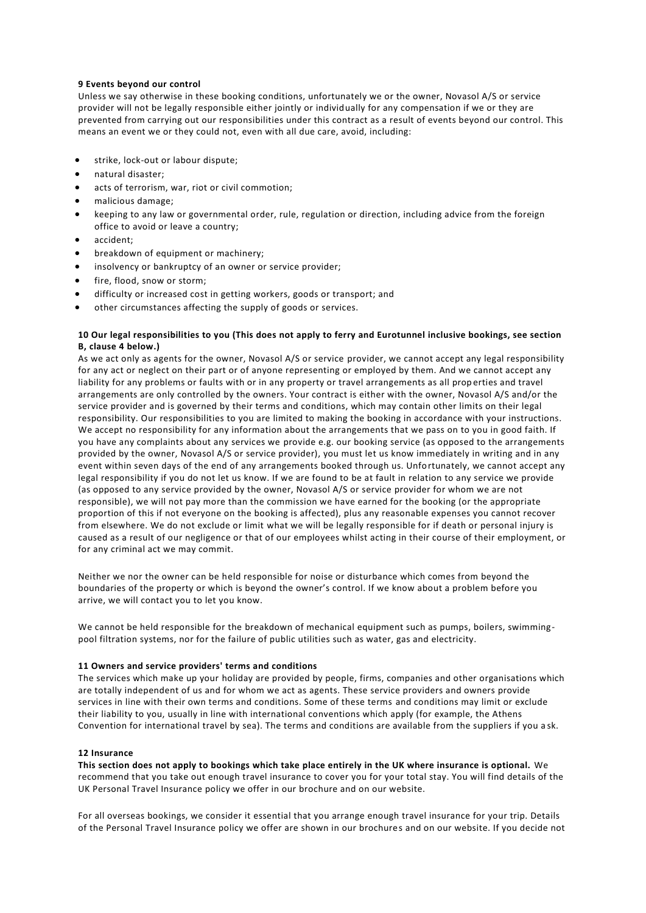# **9 Events beyond our control**

Unless we say otherwise in these booking conditions, unfortunately we or the owner, Novasol A/S or service provider will not be legally responsible either jointly or individually for any compensation if we or they are prevented from carrying out our responsibilities under this contract as a result of events beyond our control. This means an event we or they could not, even with all due care, avoid, including:

- strike, lock-out or labour dispute;
- natural disaster;
- acts of terrorism, war, riot or civil commotion;
- malicious damage;
- keeping to any law or governmental order, rule, regulation or direction, including advice from the foreign office to avoid or leave a country;
- accident;
- breakdown of equipment or machinery;
- insolvency or bankruptcy of an owner or service provider;
- fire, flood, snow or storm;
- difficulty or increased cost in getting workers, goods or transport; and
- other circumstances affecting the supply of goods or services.

# **10 Our legal responsibilities to you (This does not apply to ferry and Eurotunnel inclusive bookings, see section B, clause 4 below.)**

As we act only as agents for the owner, Novasol A/S or service provider, we cannot accept any legal responsibility for any act or neglect on their part or of anyone representing or employed by them. And we cannot accept any liability for any problems or faults with or in any property or travel arrangements as all prop erties and travel arrangements are only controlled by the owners. Your contract is either with the owner, Novasol A/S and/or the service provider and is governed by their terms and conditions, which may contain other limits on their legal responsibility. Our responsibilities to you are limited to making the booking in accordance with your instructions. We accept no responsibility for any information about the arrangements that we pass on to you in good faith. If you have any complaints about any services we provide e.g. our booking service (as opposed to the arrangements provided by the owner, Novasol A/S or service provider), you must let us know immediately in writing and in any event within seven days of the end of any arrangements booked through us. Unfortunately, we cannot accept any legal responsibility if you do not let us know. If we are found to be at fault in relation to any service we provide (as opposed to any service provided by the owner, Novasol A/S or service provider for whom we are not responsible), we will not pay more than the commission we have earned for the booking (or the appropriate proportion of this if not everyone on the booking is affected), plus any reasonable expenses you cannot recover from elsewhere. We do not exclude or limit what we will be legally responsible for if death or personal injury is caused as a result of our negligence or that of our employees whilst acting in their course of their employment, or for any criminal act we may commit.

Neither we nor the owner can be held responsible for noise or disturbance which comes from beyond the boundaries of the property or which is beyond the owner's control. If we know about a problem before you arrive, we will contact you to let you know.

We cannot be held responsible for the breakdown of mechanical equipment such as pumps, boilers, swimmingpool filtration systems, nor for the failure of public utilities such as water, gas and electricity.

#### **11 Owners and service providers' terms and conditions**

The services which make up your holiday are provided by people, firms, companies and other organisations which are totally independent of us and for whom we act as agents. These service providers and owners provide services in line with their own terms and conditions. Some of these terms and conditions may limit or exclude their liability to you, usually in line with international conventions which apply (for example, the Athens Convention for international travel by sea). The terms and conditions are available from the suppliers if you a sk.

#### **12 Insurance**

**This section does not apply to bookings which take place entirely in the UK where insurance is optional.** We recommend that you take out enough travel insurance to cover you for your total stay. You will find details of the UK Personal Travel Insurance policy we offer in our brochure and on our website.

For all overseas bookings, we consider it essential that you arrange enough travel insurance for your trip. Details of the Personal Travel Insurance policy we offer are shown in our brochures and on our website. If you decide not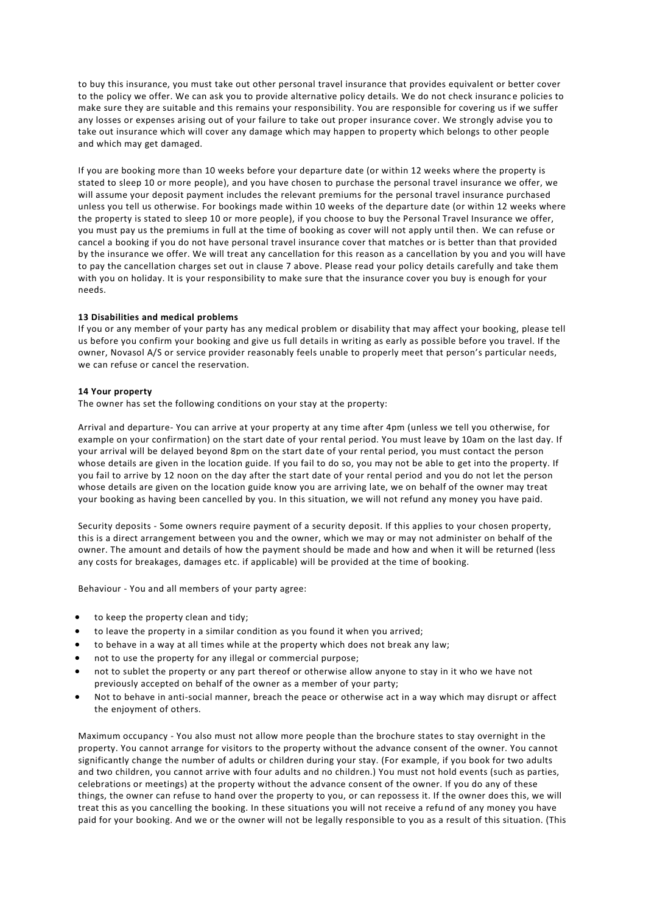to buy this insurance, you must take out other personal travel insurance that provides equivalent or better cover to the policy we offer. We can ask you to provide alternative policy details. We do not check insurance policies to make sure they are suitable and this remains your responsibility. You are responsible for covering us if we suffer any losses or expenses arising out of your failure to take out proper insurance cover. We strongly advise you to take out insurance which will cover any damage which may happen to property which belongs to other people and which may get damaged.

If you are booking more than 10 weeks before your departure date (or within 12 weeks where the property is stated to sleep 10 or more people), and you have chosen to purchase the personal travel insurance we offer, we will assume your deposit payment includes the relevant premiums for the personal travel insurance purchased unless you tell us otherwise. For bookings made within 10 weeks of the departure date (or within 12 weeks where the property is stated to sleep 10 or more people), if you choose to buy the Personal Travel Insurance we offer, you must pay us the premiums in full at the time of booking as cover will not apply until then. We can refuse or cancel a booking if you do not have personal travel insurance cover that matches or is better than that provided by the insurance we offer. We will treat any cancellation for this reason as a cancellation by you and you will have to pay the cancellation charges set out in clause 7 above. Please read your policy details carefully and take them with you on holiday. It is your responsibility to make sure that the insurance cover you buy is enough for your needs.

# **13 Disabilities and medical problems**

If you or any member of your party has any medical problem or disability that may affect your booking, please tell us before you confirm your booking and give us full details in writing as early as possible before you travel. If the owner, Novasol A/S or service provider reasonably feels unable to properly meet that person's particular needs, we can refuse or cancel the reservation.

#### **14 Your property**

The owner has set the following conditions on your stay at the property:

Arrival and departure- You can arrive at your property at any time after 4pm (unless we tell you otherwise, for example on your confirmation) on the start date of your rental period. You must leave by 10am on the last day. If your arrival will be delayed beyond 8pm on the start date of your rental period, you must contact the person whose details are given in the location guide. If you fail to do so, you may not be able to get into the property. If you fail to arrive by 12 noon on the day after the start date of your rental period and you do not let the person whose details are given on the location guide know you are arriving late, we on behalf of the owner may treat your booking as having been cancelled by you. In this situation, we will not refund any money you have paid.

Security deposits - Some owners require payment of a security deposit. If this applies to your chosen property, this is a direct arrangement between you and the owner, which we may or may not administer on behalf of the owner. The amount and details of how the payment should be made and how and when it will be returned (less any costs for breakages, damages etc. if applicable) will be provided at the time of booking.

Behaviour - You and all members of your party agree:

- to keep the property clean and tidy;
- to leave the property in a similar condition as you found it when you arrived;
- to behave in a way at all times while at the property which does not break any law;
- not to use the property for any illegal or commercial purpose;
- not to sublet the property or any part thereof or otherwise allow anyone to stay in it who we have not previously accepted on behalf of the owner as a member of your party;
- Not to behave in anti-social manner, breach the peace or otherwise act in a way which may disrupt or affect the enjoyment of others.

Maximum occupancy - You also must not allow more people than the brochure states to stay overnight in the property. You cannot arrange for visitors to the property without the advance consent of the owner. You cannot significantly change the number of adults or children during your stay. (For example, if you book for two adults and two children, you cannot arrive with four adults and no children.) You must not hold events (such as parties, celebrations or meetings) at the property without the advance consent of the owner. If you do any of these things, the owner can refuse to hand over the property to you, or can repossess it. If the owner does this, we will treat this as you cancelling the booking. In these situations you will not receive a refund of any money you have paid for your booking. And we or the owner will not be legally responsible to you as a result of this situation. (This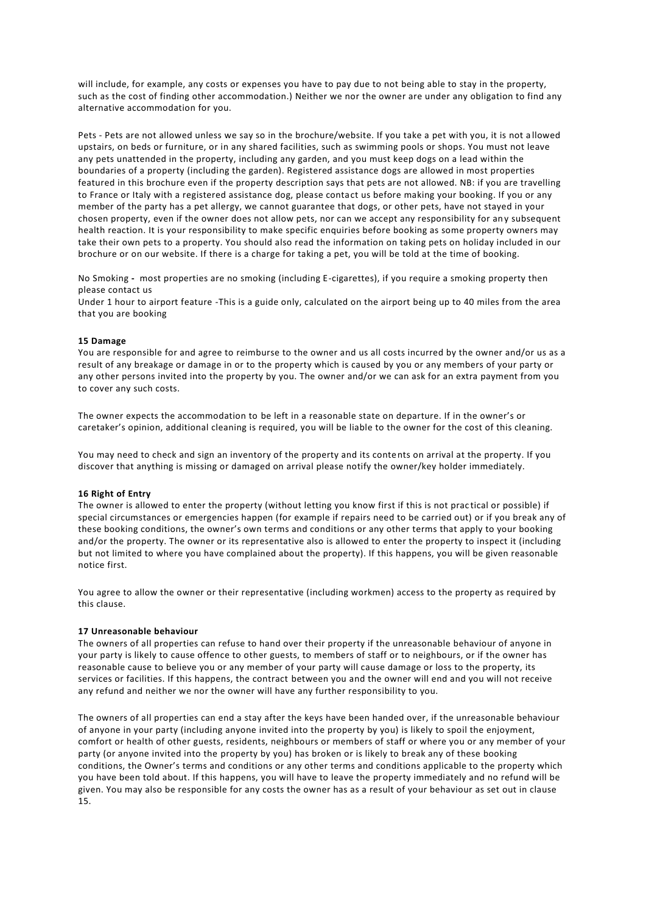will include, for example, any costs or expenses you have to pay due to not being able to stay in the property, such as the cost of finding other accommodation.) Neither we nor the owner are under any obligation to find any alternative accommodation for you.

Pets - Pets are not allowed unless we say so in the brochure/website. If you take a pet with you, it is not a llowed upstairs, on beds or furniture, or in any shared facilities, such as swimming pools or shops. You must not leave any pets unattended in the property, including any garden, and you must keep dogs on a lead within the boundaries of a property (including the garden). Registered assistance dogs are allowed in most properties featured in this brochure even if the property description says that pets are not allowed. NB: if you are travelling to France or Italy with a registered assistance dog, please contact us before making your booking. If you or any member of the party has a pet allergy, we cannot guarantee that dogs, or other pets, have not stayed in your chosen property, even if the owner does not allow pets, nor can we accept any responsibility for an y subsequent health reaction. It is your responsibility to make specific enquiries before booking as some property owners may take their own pets to a property. You should also read the information on taking pets on holiday included in our brochure or on our website. If there is a charge for taking a pet, you will be told at the time of booking.

No Smoking **-** most properties are no smoking (including E-cigarettes), if you require a smoking property then please contact us

Under 1 hour to airport feature -This is a guide only, calculated on the airport being up to 40 miles from the area that you are booking

# **15 Damage**

You are responsible for and agree to reimburse to the owner and us all costs incurred by the owner and/or us as a result of any breakage or damage in or to the property which is caused by you or any members of your party or any other persons invited into the property by you. The owner and/or we can ask for an extra payment from you to cover any such costs.

The owner expects the accommodation to be left in a reasonable state on departure. If in the owner's or caretaker's opinion, additional cleaning is required, you will be liable to the owner for the cost of this cleaning.

You may need to check and sign an inventory of the property and its contents on arrival at the property. If you discover that anything is missing or damaged on arrival please notify the owner/key holder immediately.

# **16 Right of Entry**

The owner is allowed to enter the property (without letting you know first if this is not prac tical or possible) if special circumstances or emergencies happen (for example if repairs need to be carried out) or if you break any of these booking conditions, the owner's own terms and conditions or any other terms that apply to your booking and/or the property. The owner or its representative also is allowed to enter the property to inspect it (including but not limited to where you have complained about the property). If this happens, you will be given reasonable notice first.

You agree to allow the owner or their representative (including workmen) access to the property as required by this clause.

#### **17 Unreasonable behaviour**

The owners of all properties can refuse to hand over their property if the unreasonable behaviour of anyone in your party is likely to cause offence to other guests, to members of staff or to neighbours, or if the owner has reasonable cause to believe you or any member of your party will cause damage or loss to the property, its services or facilities. If this happens, the contract between you and the owner will end and you will not receive any refund and neither we nor the owner will have any further responsibility to you.

The owners of all properties can end a stay after the keys have been handed over, if the unreasonable behaviour of anyone in your party (including anyone invited into the property by you) is likely to spoil the enjoyment, comfort or health of other guests, residents, neighbours or members of staff or where you or any member of your party (or anyone invited into the property by you) has broken or is likely to break any of these booking conditions, the Owner's terms and conditions or any other terms and conditions applicable to the property which you have been told about. If this happens, you will have to leave the property immediately and no refund will be given. You may also be responsible for any costs the owner has as a result of your behaviour as set out in clause 15.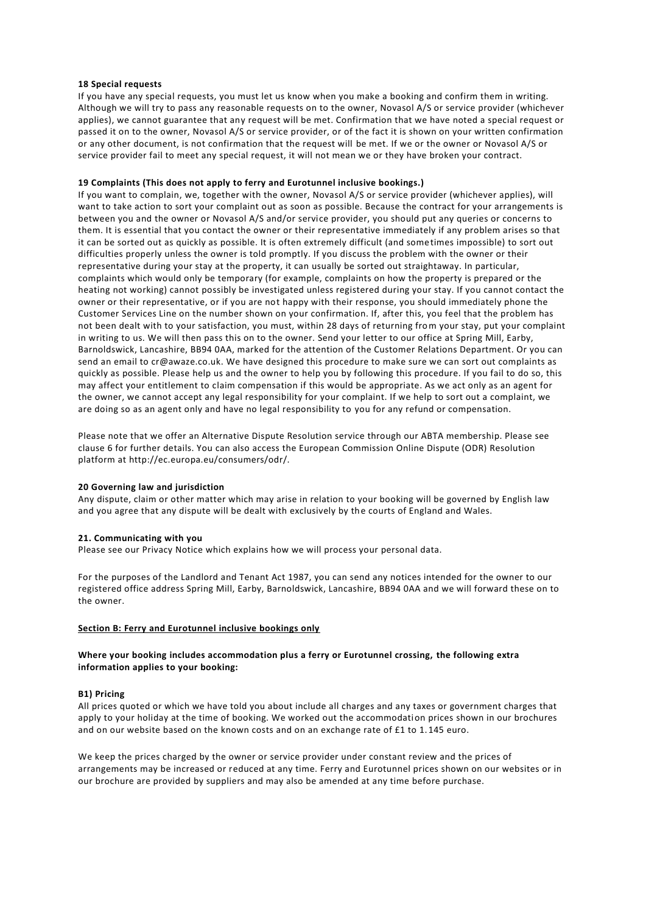### **18 Special requests**

If you have any special requests, you must let us know when you make a booking and confirm them in writing. Although we will try to pass any reasonable requests on to the owner, Novasol A/S or service provider (whichever applies), we cannot guarantee that any request will be met. Confirmation that we have noted a special request or passed it on to the owner, Novasol A/S or service provider, or of the fact it is shown on your written confirmation or any other document, is not confirmation that the request will be met. If we or the owner or Novasol A/S or service provider fail to meet any special request, it will not mean we or they have broken your contract.

# **19 Complaints (This does not apply to ferry and Eurotunnel inclusive bookings.)**

If you want to complain, we, together with the owner, Novasol A/S or service provider (whichever applies), will want to take action to sort your complaint out as soon as possible. Because the contract for your arrangements is between you and the owner or Novasol A/S and/or service provider, you should put any queries or concerns to them. It is essential that you contact the owner or their representative immediately if any problem arises so that it can be sorted out as quickly as possible. It is often extremely difficult (and sometimes impossible) to sort out difficulties properly unless the owner is told promptly. If you discuss the problem with the owner or their representative during your stay at the property, it can usually be sorted out straightaway. In particular, complaints which would only be temporary (for example, complaints on how the property is prepared or the heating not working) cannot possibly be investigated unless registered during your stay. If you cannot contact the owner or their representative, or if you are not happy with their response, you should immediately phone the Customer Services Line on the number shown on your confirmation. If, after this, you feel that the problem has not been dealt with to your satisfaction, you must, within 28 days of returning from your stay, put your complaint in writing to us. We will then pass this on to the owner. Send your letter to our office at Spring Mill, Earby, Barnoldswick, Lancashire, BB94 0AA, marked for the attention of the Customer Relations Department. Or you can send an email to cr@awaze.co.uk. We have designed this procedure to make sure we can sort out complaints as quickly as possible. Please help us and the owner to help you by following this procedure. If you fail to do so, this may affect your entitlement to claim compensation if this would be appropriate. As we act only as an agent for the owner, we cannot accept any legal responsibility for your complaint. If we help to sort out a complaint, we are doing so as an agent only and have no legal responsibility to you for any refund or compensation.

Please note that we offer an Alternative Dispute Resolution service through our ABTA membership. Please see clause 6 for further details. You can also access the European Commission Online Dispute (ODR) Resolution platform at http://ec.europa.eu/consumers/odr/.

#### **20 Governing law and jurisdiction**

Any dispute, claim or other matter which may arise in relation to your booking will be governed by English law and you agree that any dispute will be dealt with exclusively by the courts of England and Wales.

# **21. Communicating with you**

Please see our Privacy Notice which explains how we will process your personal data.

For the purposes of the Landlord and Tenant Act 1987, you can send any notices intended for the owner to our registered office address Spring Mill, Earby, Barnoldswick, Lancashire, BB94 0AA and we will forward these on to the owner.

# **Section B: Ferry and Eurotunnel inclusive bookings only**

# **Where your booking includes accommodation plus a ferry or Eurotunnel crossing, the following extra information applies to your booking:**

# **B1) Pricing**

All prices quoted or which we have told you about include all charges and any taxes or government charges that apply to your holiday at the time of booking. We worked out the accommodation prices shown in our brochures and on our website based on the known costs and on an exchange rate of £1 to 1.145 euro.

We keep the prices charged by the owner or service provider under constant review and the prices of arrangements may be increased or reduced at any time. Ferry and Eurotunnel prices shown on our websites or in our brochure are provided by suppliers and may also be amended at any time before purchase.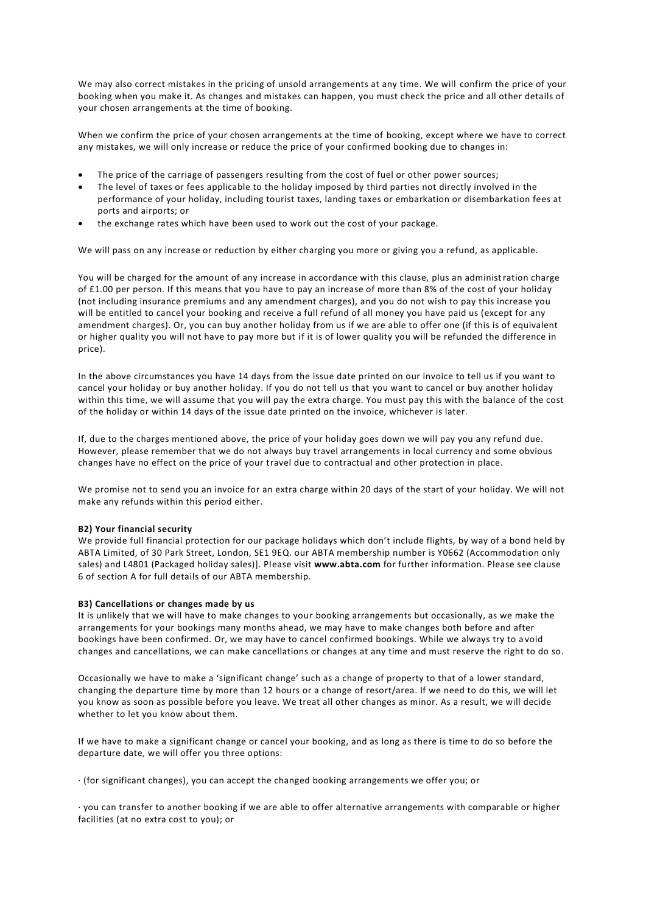We may also correct mistakes in the pricing of unsold arrangements at any time. We will confirm the price of your booking when you make it. As changes and mistakes can happen, you must check the price and all other details of your chosen arrangements at the time of booking.

When we confirm the price of your chosen arrangements at the time of booking, except where we have to correct any mistakes, we will only increase or reduce the price of your confirmed booking due to changes in:

- The price of the carriage of passengers resulting from the cost of fuel or other power sources;
- The level of taxes or fees applicable to the holiday imposed by third parties not directly involved in the performance of your holiday, including tourist taxes, landing taxes or embarkation or disembarkation fees at ports and airports; or
- the exchange rates which have been used to work out the cost of your package.

We will pass on any increase or reduction by either charging you more or giving you a refund, as applicable.

You will be charged for the amount of any increase in accordance with this clause, plus an administration charge of £1.00 per person. If this means that you have to pay an increase of more than 8% of the cost of your holiday (not including insurance premiums and any amendment charges), and you do not wish to pay this increase you will be entitled to cancel your booking and receive a full refund of all money you have paid us (except for any amendment charges). Or, you can buy another holiday from us if we are able to offer one (if this is of equivalent or higher quality you will not have to pay more but if it is of lower quality you will be refunded the difference in price).

In the above circumstances you have 14 days from the issue date printed on our invoice to tell us if you want to cancel your holiday or buy another holiday. If you do not tell us that you want to cancel or buy another holiday within this time, we will assume that you will pay the extra charge. You must pay this with the balance of the cost of the holiday or within 14 days of the issue date printed on the invoice, whichever is later.

If, due to the charges mentioned above, the price of your holiday goes down we will pay you any refund due. However, please remember that we do not always buy travel arrangements in local currency and some obvious changes have no effect on the price of your travel due to contractual and other protection in place.

We promise not to send you an invoice for an extra charge within 20 days of the start of your holiday. We will not make any refunds within this period either.

#### **B2) Your financial security**

We provide full financial protection for our package holidays which don't include flights, by way of a bond held by ABTA Limited, of 30 Park Street, London, SE1 9EQ. our ABTA membership number is Y0662 (Accommodation only sales) and L4801 (Packaged holiday sales)]. Please visit **[www.abta.com](http://www.abta.com/)** for further information. Please see clause 6 of section A for full details of our ABTA membership.

# **B3) Cancellations or changes made by us**

It is unlikely that we will have to make changes to your booking arrangements but occasionally, as we make the arrangements for your bookings many months ahead, we may have to make changes both before and after bookings have been confirmed. Or, we may have to cancel confirmed bookings. While we always try to a void changes and cancellations, we can make cancellations or changes at any time and must reserve the right to do so.

Occasionally we have to make a 'significant change' such as a change of property to that of a lower standard, changing the departure time by more than 12 hours or a change of resort/area. If we need to do this, we will let you know as soon as possible before you leave. We treat all other changes as minor. As a result, we will decide whether to let you know about them.

If we have to make a significant change or cancel your booking, and as long as there is time to do so before the departure date, we will offer you three options:

· (for significant changes), you can accept the changed booking arrangements we offer you; or

· you can transfer to another booking if we are able to offer alternative arrangements with comparable or higher facilities (at no extra cost to you); or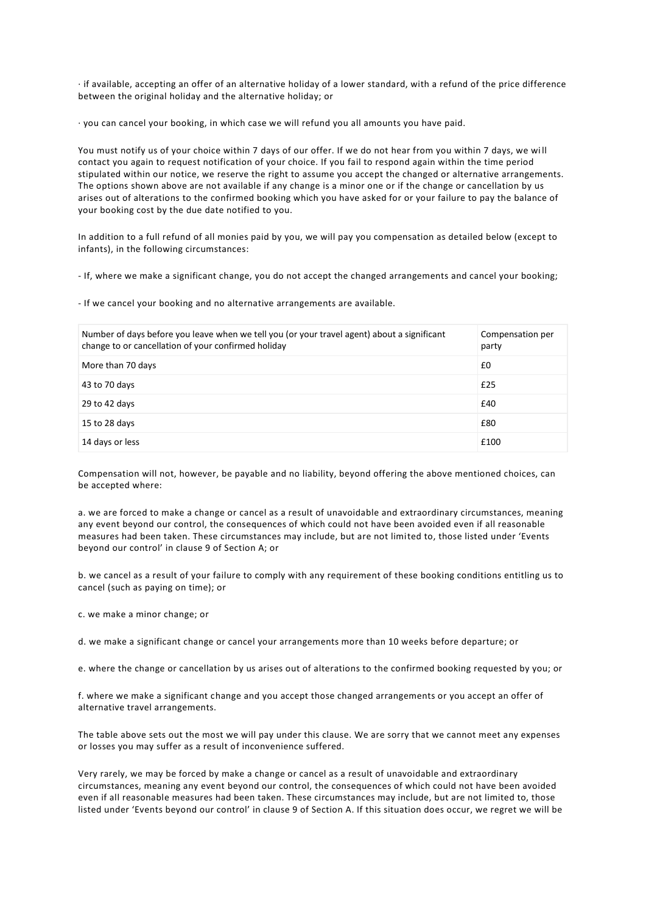· if available, accepting an offer of an alternative holiday of a lower standard, with a refund of the price difference between the original holiday and the alternative holiday; or

· you can cancel your booking, in which case we will refund you all amounts you have paid.

You must notify us of your choice within 7 days of our offer. If we do not hear from you within 7 days, we wi ll contact you again to request notification of your choice. If you fail to respond again within the time period stipulated within our notice, we reserve the right to assume you accept the changed or alternative arrangements. The options shown above are not available if any change is a minor one or if the change or cancellation by us arises out of alterations to the confirmed booking which you have asked for or your failure to pay the balance of your booking cost by the due date notified to you.

In addition to a full refund of all monies paid by you, we will pay you compensation as detailed below (except to infants), in the following circumstances:

- If, where we make a significant change, you do not accept the changed arrangements and cancel your booking;

- If we cancel your booking and no alternative arrangements are available.

| Number of days before you leave when we tell you (or your travel agent) about a significant<br>change to or cancellation of your confirmed holiday | Compensation per<br>party |
|----------------------------------------------------------------------------------------------------------------------------------------------------|---------------------------|
| More than 70 days                                                                                                                                  | £0                        |
| 43 to 70 days                                                                                                                                      | £25                       |
| 29 to 42 days                                                                                                                                      | £40                       |
| 15 to 28 days                                                                                                                                      | £80                       |
| 14 days or less                                                                                                                                    | £100                      |

Compensation will not, however, be payable and no liability, beyond offering the above mentioned choices, can be accepted where:

a. we are forced to make a change or cancel as a result of unavoidable and extraordinary circumstances, meaning any event beyond our control, the consequences of which could not have been avoided even if all reasonable measures had been taken. These circumstances may include, but are not limited to, those listed under 'Events beyond our control' in clause 9 of Section A; or

b. we cancel as a result of your failure to comply with any requirement of these booking conditions entitling us to cancel (such as paying on time); or

c. we make a minor change; or

d. we make a significant change or cancel your arrangements more than 10 weeks before departure; or

e. where the change or cancellation by us arises out of alterations to the confirmed booking requested by you; or

f. where we make a significant change and you accept those changed arrangements or you accept an offer of alternative travel arrangements.

The table above sets out the most we will pay under this clause. We are sorry that we cannot meet any expenses or losses you may suffer as a result of inconvenience suffered.

Very rarely, we may be forced by make a change or cancel as a result of unavoidable and extraordinary circumstances, meaning any event beyond our control, the consequences of which could not have been avoided even if all reasonable measures had been taken. These circumstances may include, but are not limited to, those listed under 'Events beyond our control' in clause 9 of Section A. If this situation does occur, we regret we will be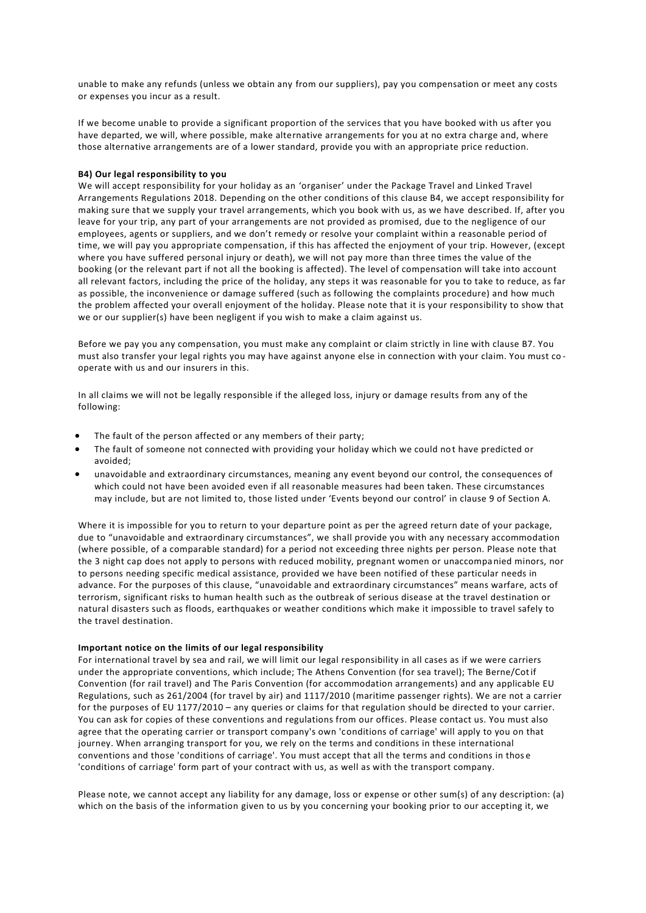unable to make any refunds (unless we obtain any from our suppliers), pay you compensation or meet any costs or expenses you incur as a result.

If we become unable to provide a significant proportion of the services that you have booked with us after you have departed, we will, where possible, make alternative arrangements for you at no extra charge and, where those alternative arrangements are of a lower standard, provide you with an appropriate price reduction.

# **B4) Our legal responsibility to you**

We will accept responsibility for your holiday as an 'organiser' under the Package Travel and Linked Travel Arrangements Regulations 2018. Depending on the other conditions of this clause B4, we accept responsibility for making sure that we supply your travel arrangements, which you book with us, as we have described. If, after you leave for your trip, any part of your arrangements are not provided as promised, due to the negligence of our employees, agents or suppliers, and we don't remedy or resolve your complaint within a reasonable period of time, we will pay you appropriate compensation, if this has affected the enjoyment of your trip. However, (except where you have suffered personal injury or death), we will not pay more than three times the value of the booking (or the relevant part if not all the booking is affected). The level of compensation will take into account all relevant factors, including the price of the holiday, any steps it was reasonable for you to take to reduce, as far as possible, the inconvenience or damage suffered (such as following the complaints procedure) and how much the problem affected your overall enjoyment of the holiday. Please note that it is your responsibility to show that we or our supplier(s) have been negligent if you wish to make a claim against us.

Before we pay you any compensation, you must make any complaint or claim strictly in line with clause B7. You must also transfer your legal rights you may have against anyone else in connection with your claim. You must co operate with us and our insurers in this.

In all claims we will not be legally responsible if the alleged loss, injury or damage results from any of the following:

- The fault of the person affected or any members of their party;
- The fault of someone not connected with providing your holiday which we could not have predicted or avoided;
- unavoidable and extraordinary circumstances, meaning any event beyond our control, the consequences of which could not have been avoided even if all reasonable measures had been taken. These circumstances may include, but are not limited to, those listed under 'Events beyond our control' in clause 9 of Section A.

Where it is impossible for you to return to your departure point as per the agreed return date of your package, due to "unavoidable and extraordinary circumstances", we shall provide you with any necessary accommodation (where possible, of a comparable standard) for a period not exceeding three nights per person. Please note that the 3 night cap does not apply to persons with reduced mobility, pregnant women or unaccompa nied minors, nor to persons needing specific medical assistance, provided we have been notified of these particular needs in advance. For the purposes of this clause, "unavoidable and extraordinary circumstances" means warfare, acts of terrorism, significant risks to human health such as the outbreak of serious disease at the travel destination or natural disasters such as floods, earthquakes or weather conditions which make it impossible to travel safely to the travel destination.

## **Important notice on the limits of our legal responsibility**

For international travel by sea and rail, we will limit our legal responsibility in all cases as if we were carriers under the appropriate conventions, which include; The Athens Convention (for sea travel); The Berne/Cotif Convention (for rail travel) and The Paris Convention (for accommodation arrangements) and any applicable EU Regulations, such as 261/2004 (for travel by air) and 1117/2010 (maritime passenger rights). We are not a carrier for the purposes of EU 1177/2010 – any queries or claims for that regulation should be directed to your carrier. You can ask for copies of these conventions and regulations from our offices. Please contact us. You must also agree that the operating carrier or transport company's own 'conditions of carriage' will apply to you on that journey. When arranging transport for you, we rely on the terms and conditions in these international conventions and those 'conditions of carriage'. You must accept that all the terms and conditions in thos e 'conditions of carriage' form part of your contract with us, as well as with the transport company.

Please note, we cannot accept any liability for any damage, loss or expense or other sum(s) of any description: (a) which on the basis of the information given to us by you concerning your booking prior to our accepting it, we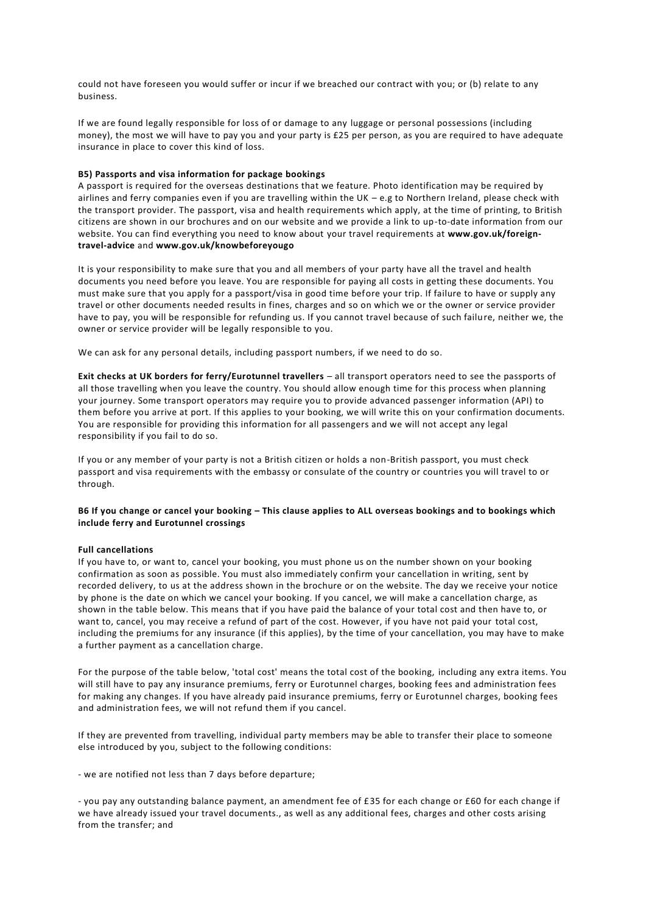could not have foreseen you would suffer or incur if we breached our contract with you; or (b) relate to any business.

If we are found legally responsible for loss of or damage to any luggage or personal possessions (including money), the most we will have to pay you and your party is £25 per person, as you are required to have adequate insurance in place to cover this kind of loss.

# **B5) Passports and visa information for package bookings**

A passport is required for the overseas destinations that we feature. Photo identification may be required by airlines and ferry companies even if you are travelling within the UK – e.g to Northern Ireland, please check with the transport provider. The passport, visa and health requirements which apply, at the time of printing, to British citizens are shown in our brochures and on our website and we provide a link to up-to-date information from our website. You can find everything you need to know about your travel requirements at **[www.gov.uk/foreign](https://www.gov.uk/foreign-travel-advice)[travel-advice](https://www.gov.uk/foreign-travel-advice)** and **[www.gov.uk/knowbeforeyougo](https://www.gov.uk/knowbeforeyougo)**

It is your responsibility to make sure that you and all members of your party have all the travel and health documents you need before you leave. You are responsible for paying all costs in getting these documents. You must make sure that you apply for a passport/visa in good time before your trip. If failure to have or supply any travel or other documents needed results in fines, charges and so on which we or the owner or service provider have to pay, you will be responsible for refunding us. If you cannot travel because of such failure, neither we, the owner or service provider will be legally responsible to you.

We can ask for any personal details, including passport numbers, if we need to do so.

**Exit checks at UK borders for ferry/Eurotunnel travellers** – all transport operators need to see the passports of all those travelling when you leave the country. You should allow enough time for this process when planning your journey. Some transport operators may require you to provide advanced passenger information (API) to them before you arrive at port. If this applies to your booking, we will write this on your confirmation documents. You are responsible for providing this information for all passengers and we will not accept any legal responsibility if you fail to do so.

If you or any member of your party is not a British citizen or holds a non-British passport, you must check passport and visa requirements with the embassy or consulate of the country or countries you will travel to or through.

# **B6 If you change or cancel your booking – This clause applies to ALL overseas bookings and to bookings which include ferry and Eurotunnel crossings**

# **Full cancellations**

If you have to, or want to, cancel your booking, you must phone us on the number shown on your booking confirmation as soon as possible. You must also immediately confirm your cancellation in writing, sent by recorded delivery, to us at the address shown in the brochure or on the website. The day we receive your notice by phone is the date on which we cancel your booking. If you cancel, we will make a cancellation charge, as shown in the table below. This means that if you have paid the balance of your total cost and then have to, or want to, cancel, you may receive a refund of part of the cost. However, if you have not paid your total cost, including the premiums for any insurance (if this applies), by the time of your cancellation, you may have to make a further payment as a cancellation charge.

For the purpose of the table below, 'total cost' means the total cost of the booking, including any extra items. You will still have to pay any insurance premiums, ferry or Eurotunnel charges, booking fees and administration fees for making any changes. If you have already paid insurance premiums, ferry or Eurotunnel charges, booking fees and administration fees, we will not refund them if you cancel.

If they are prevented from travelling, individual party members may be able to transfer their place to someone else introduced by you, subject to the following conditions:

- we are notified not less than 7 days before departure;

- you pay any outstanding balance payment, an amendment fee of £35 for each change or £60 for each change if we have already issued your travel documents., as well as any additional fees, charges and other costs arising from the transfer; and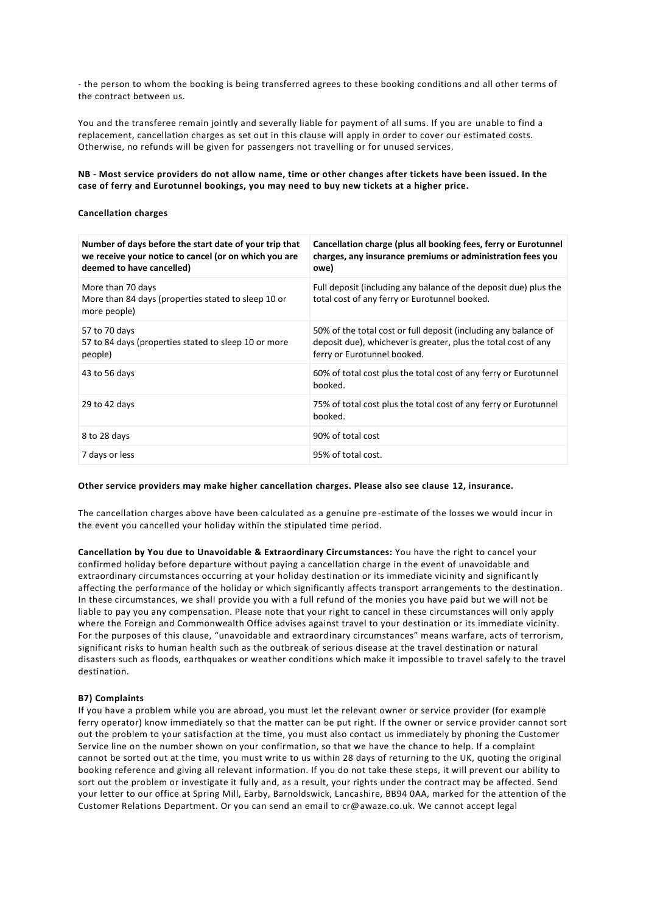- the person to whom the booking is being transferred agrees to these booking conditions and all other terms of the contract between us.

You and the transferee remain jointly and severally liable for payment of all sums. If you are unable to find a replacement, cancellation charges as set out in this clause will apply in order to cover our estimated costs. Otherwise, no refunds will be given for passengers not travelling or for unused services.

**NB - Most service providers do not allow name, time or other changes after tickets have been issued. In the case of ferry and Eurotunnel bookings, you may need to buy new tickets at a higher price.**

#### **Cancellation charges**

| Number of days before the start date of your trip that<br>we receive your notice to cancel (or on which you are<br>deemed to have cancelled) | Cancellation charge (plus all booking fees, ferry or Eurotunnel<br>charges, any insurance premiums or administration fees you<br>owe)                            |
|----------------------------------------------------------------------------------------------------------------------------------------------|------------------------------------------------------------------------------------------------------------------------------------------------------------------|
| More than 70 days<br>More than 84 days (properties stated to sleep 10 or<br>more people)                                                     | Full deposit (including any balance of the deposit due) plus the<br>total cost of any ferry or Eurotunnel booked.                                                |
| 57 to 70 days<br>57 to 84 days (properties stated to sleep 10 or more<br>people)                                                             | 50% of the total cost or full deposit (including any balance of<br>deposit due), whichever is greater, plus the total cost of any<br>ferry or Eurotunnel booked. |
| 43 to 56 days                                                                                                                                | 60% of total cost plus the total cost of any ferry or Eurotunnel<br>booked.                                                                                      |
| 29 to 42 days                                                                                                                                | 75% of total cost plus the total cost of any ferry or Eurotunnel<br>booked.                                                                                      |
| 8 to 28 days                                                                                                                                 | 90% of total cost                                                                                                                                                |
| 7 days or less                                                                                                                               | 95% of total cost.                                                                                                                                               |

#### **Other service providers may make higher cancellation charges. Please also see clause 12, insurance.**

The cancellation charges above have been calculated as a genuine pre-estimate of the losses we would incur in the event you cancelled your holiday within the stipulated time period.

**Cancellation by You due to Unavoidable & Extraordinary Circumstances:** You have the right to cancel your confirmed holiday before departure without paying a cancellation charge in the event of unavoidable and extraordinary circumstances occurring at your holiday destination or its immediate vicinity and significantly affecting the performance of the holiday or which significantly affects transport arrangements to the destination. In these circumstances, we shall provide you with a full refund of the monies you have paid but we will not be liable to pay you any compensation. Please note that your right to cancel in these circumstances will only apply where the Foreign and Commonwealth Office advises against travel to your destination or its immediate vicinity. For the purposes of this clause, "unavoidable and extraordinary circumstances" means warfare, acts of terrorism, significant risks to human health such as the outbreak of serious disease at the travel destination or natural disasters such as floods, earthquakes or weather conditions which make it impossible to travel safely to the travel destination.

#### **B7) Complaints**

If you have a problem while you are abroad, you must let the relevant owner or service provider (for example ferry operator) know immediately so that the matter can be put right. If the owner or service provider cannot sort out the problem to your satisfaction at the time, you must also contact us immediately by phoning the Customer Service line on the number shown on your confirmation, so that we have the chance to help. If a complaint cannot be sorted out at the time, you must write to us within 28 days of returning to the UK, quoting the original booking reference and giving all relevant information. If you do not take these steps, it will prevent our ability to sort out the problem or investigate it fully and, as a result, your rights under the contract may be affected. Send your letter to our office at Spring Mill, Earby, Barnoldswick, Lancashire, BB94 0AA, marked for the attention of the Customer Relations Department. Or you can send an email to cr@awaze.co.uk. We cannot accept legal